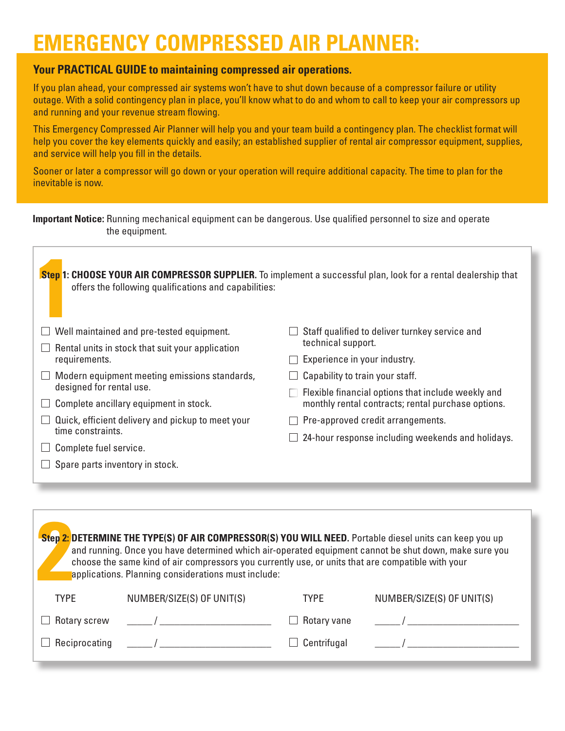# **EMERGENCY COMPRESSED AIR PLANNER:**

## **Your PRACTICAL GUIDE to maintaining compressed air operations.**

If you plan ahead, your compressed air systems won't have to shut down because of a compressor failure or utility outage. With a solid contingency plan in place, you'll know what to do and whom to call to keep your air compressors up and running and your revenue stream flowing.

This Emergency Compressed Air Planner will help you and your team build a contingency plan. The checklist format will help you cover the key elements quickly and easily; an established supplier of rental air compressor equipment, supplies, and service will help you fill in the details.

Sooner or later a compressor will go down or your operation will require additional capacity. The time to plan for the inevitable is now.

|                | <b>Important Notice:</b> Running mechanical equipment can be dangerous. Use qualified personnel to size and operate |  |
|----------------|---------------------------------------------------------------------------------------------------------------------|--|
| the equipment. |                                                                                                                     |  |

| Step 1: CHOOSE YOUR AIR COMPRESSOR SUPPLIER. To implement a successful plan, look for a rental dealership that<br>offers the following qualifications and capabilities: |                                                    |
|-------------------------------------------------------------------------------------------------------------------------------------------------------------------------|----------------------------------------------------|
| Well maintained and pre-tested equipment.                                                                                                                               | Staff qualified to deliver turnkey service and     |
| Rental units in stock that suit your application                                                                                                                        | technical support.                                 |
| requirements.                                                                                                                                                           | Experience in your industry.                       |
| Modern equipment meeting emissions standards,                                                                                                                           | Capability to train your staff.                    |
| designed for rental use.                                                                                                                                                | Flexible financial options that include weekly and |
| Complete ancillary equipment in stock.                                                                                                                                  | monthly rental contracts; rental purchase options. |
| Quick, efficient delivery and pickup to meet your                                                                                                                       | Pre-approved credit arrangements.                  |
| time constraints.                                                                                                                                                       | 24-hour response including weekends and holidays.  |
| Complete fuel service.                                                                                                                                                  |                                                    |
| Spare parts inventory in stock.                                                                                                                                         |                                                    |

| Step 2: DETERMINE THE TYPE(S) OF AIR COMPRESSOR(S) YOU WILL NEED. Portable diesel units can keep you up<br>and running. Once you have determined which air-operated equipment cannot be shut down, make sure you<br>choose the same kind of air compressors you currently use, or units that are compatible with your<br>applications. Planning considerations must include: |                                                                                                                                                                                                                                   |             |                           |  |  |  |
|------------------------------------------------------------------------------------------------------------------------------------------------------------------------------------------------------------------------------------------------------------------------------------------------------------------------------------------------------------------------------|-----------------------------------------------------------------------------------------------------------------------------------------------------------------------------------------------------------------------------------|-------------|---------------------------|--|--|--|
| <b>TYPE</b>                                                                                                                                                                                                                                                                                                                                                                  | NUMBER/SIZE(S) OF UNIT(S)                                                                                                                                                                                                         | <b>TYPE</b> | NUMBER/SIZE(S) OF UNIT(S) |  |  |  |
| Rotary screw                                                                                                                                                                                                                                                                                                                                                                 | $\overline{1}$                                                                                                                                                                                                                    | Rotary vane |                           |  |  |  |
| Reciprocating                                                                                                                                                                                                                                                                                                                                                                | $\frac{1}{2}$ . The contract of the contract of the contract of the contract of the contract of the contract of the contract of the contract of the contract of the contract of the contract of the contract of the contract of t | Centrifugal |                           |  |  |  |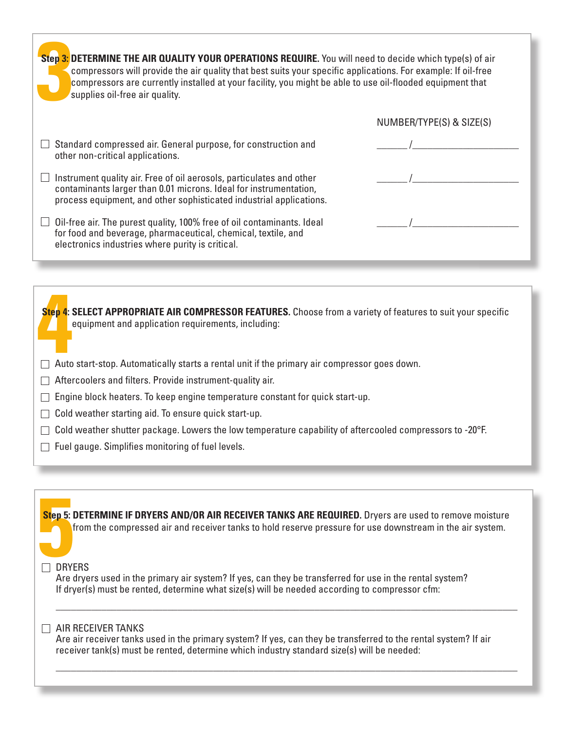| Step 3: DETERMINE THE AIR QUALITY YOUR OPERATIONS REQUIRE. You will need to decide which type(s) of air<br>compressors will provide the air quality that best suits your specific applications. For example: If oil-free<br>compressors are currently installed at your facility, you might be able to use oil-flooded equipment that<br>supplies oil-free air quality. |                          |  |  |  |  |
|-------------------------------------------------------------------------------------------------------------------------------------------------------------------------------------------------------------------------------------------------------------------------------------------------------------------------------------------------------------------------|--------------------------|--|--|--|--|
|                                                                                                                                                                                                                                                                                                                                                                         | NUMBER/TYPE(S) & SIZE(S) |  |  |  |  |
| Standard compressed air. General purpose, for construction and<br>other non-critical applications.                                                                                                                                                                                                                                                                      |                          |  |  |  |  |
| Instrument quality air. Free of oil aerosols, particulates and other<br>contaminants larger than 0.01 microns. Ideal for instrumentation,<br>process equipment, and other sophisticated industrial applications.                                                                                                                                                        |                          |  |  |  |  |
| Oil-free air. The purest quality, 100% free of oil contaminants. Ideal<br>for food and beverage, pharmaceutical, chemical, textile, and<br>electronics industries where purity is critical.                                                                                                                                                                             |                          |  |  |  |  |

**4**<br> **4 4 4 4 ELECT APPROPRIATE AIR COMPRESSOR FEATURES.** Choose from a variety of feature<br>
equipment and application requirements, including:<br>
Auto start-stop. Automatically starts a rental unit if the primary air **Step 4: SELECT APPROPRIATE AIR COMPRESSOR FEATURES.** Choose from a variety of features to suit your specific equipment and application requirements, including:

- 
- $\Box$  Aftercoolers and filters. Provide instrument-quality air.
- $\Box$  Engine block heaters. To keep engine temperature constant for quick start-up.
- $\Box$  Cold weather starting aid. To ensure quick start-up.
- $\Box$  Cold weather shutter package. Lowers the low temperature capability of aftercooled compressors to -20°F.
- $\Box$  Fuel gauge. Simplifies monitoring of fuel levels.

**Step 5:**<br> **1** DRYI **Step 5: DETERMINE IF DRYERS AND/OR AIR RECEIVER TANKS ARE REQUIRED.** Dryers are used to remove moisture from the compressed air and receiver tanks to hold reserve pressure for use downstream in the air system.

#### $\Box$  DRYERS

Are dryers used in the primary air system? If yes, can they be transferred for use in the rental system? If dryer(s) must be rented, determine what size(s) will be needed according to compressor cfm:

### $\Box$  AIR RECEIVER TANKS

Are air receiver tanks used in the primary system? If yes, can they be transferred to the rental system? If air receiver tank(s) must be rented, determine which industry standard size(s) will be needed:

\_\_\_\_\_\_\_\_\_\_\_\_\_\_\_\_\_\_\_\_\_\_\_\_\_\_\_\_\_\_\_\_\_\_\_\_\_\_\_\_\_\_\_\_\_\_\_\_\_\_\_\_\_\_\_\_\_\_\_\_\_\_\_\_\_\_\_\_\_\_\_\_\_\_\_\_\_\_\_\_\_\_\_\_\_\_\_\_\_\_\_

\_\_\_\_\_\_\_\_\_\_\_\_\_\_\_\_\_\_\_\_\_\_\_\_\_\_\_\_\_\_\_\_\_\_\_\_\_\_\_\_\_\_\_\_\_\_\_\_\_\_\_\_\_\_\_\_\_\_\_\_\_\_\_\_\_\_\_\_\_\_\_\_\_\_\_\_\_\_\_\_\_\_\_\_\_\_\_\_\_\_\_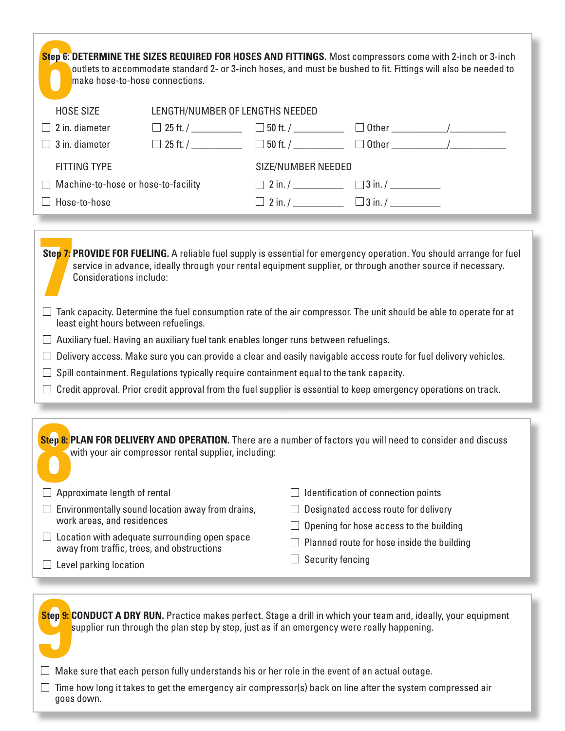| Step 6: DETERMINE THE SIZES REQUIRED FOR HOSES AND FITTINGS. Most compressors come with 2-inch or 3-inch<br>outlets to accommodate standard 2- or 3-inch hoses, and must be bushed to fit. Fittings will also be needed to<br>make hose-to-hose connections.                                                                                                                                                                                                                                                                                                                                                                                                                                                                                                               |                                                                                                                                                                               |  |                                                                                       |                                     |                                                                                              |  |
|----------------------------------------------------------------------------------------------------------------------------------------------------------------------------------------------------------------------------------------------------------------------------------------------------------------------------------------------------------------------------------------------------------------------------------------------------------------------------------------------------------------------------------------------------------------------------------------------------------------------------------------------------------------------------------------------------------------------------------------------------------------------------|-------------------------------------------------------------------------------------------------------------------------------------------------------------------------------|--|---------------------------------------------------------------------------------------|-------------------------------------|----------------------------------------------------------------------------------------------|--|
| <b>HOSE SIZE</b>                                                                                                                                                                                                                                                                                                                                                                                                                                                                                                                                                                                                                                                                                                                                                           | LENGTH/NUMBER OF LENGTHS NEEDED                                                                                                                                               |  |                                                                                       |                                     |                                                                                              |  |
| 2 in. diameter                                                                                                                                                                                                                                                                                                                                                                                                                                                                                                                                                                                                                                                                                                                                                             |                                                                                                                                                                               |  |                                                                                       |                                     | $\Box$ 25 ft. / ___________ $\Box$ 50 ft. / _________ $\Box$ Other __________/__________     |  |
| 3 in. diameter                                                                                                                                                                                                                                                                                                                                                                                                                                                                                                                                                                                                                                                                                                                                                             |                                                                                                                                                                               |  |                                                                                       |                                     | $\Box$ 25 ft. / ____________ $\Box$ 50 ft. / __________ $\Box$ Other __________/____________ |  |
| <b>FITTING TYPE</b>                                                                                                                                                                                                                                                                                                                                                                                                                                                                                                                                                                                                                                                                                                                                                        |                                                                                                                                                                               |  | <b>SIZE/NUMBER NEEDED</b>                                                             |                                     |                                                                                              |  |
| Machine-to-hose or hose-to-facility                                                                                                                                                                                                                                                                                                                                                                                                                                                                                                                                                                                                                                                                                                                                        |                                                                                                                                                                               |  |                                                                                       |                                     |                                                                                              |  |
| Hose-to-hose                                                                                                                                                                                                                                                                                                                                                                                                                                                                                                                                                                                                                                                                                                                                                               |                                                                                                                                                                               |  |                                                                                       |                                     |                                                                                              |  |
| service in advance, ideally through your rental equipment supplier, or through another source if necessary.<br><b>Considerations include:</b><br>$\Box$ Tank capacity. Determine the fuel consumption rate of the air compressor. The unit should be able to operate for at<br>least eight hours between refuelings.<br>$\Box$ Auxiliary fuel. Having an auxiliary fuel tank enables longer runs between refuelings.<br>Delivery access. Make sure you can provide a clear and easily navigable access route for fuel delivery vehicles.<br>$\Box$<br>Spill containment. Regulations typically require containment equal to the tank capacity.<br>$\Box$ Credit approval. Prior credit approval from the fuel supplier is essential to keep emergency operations on track. |                                                                                                                                                                               |  |                                                                                       |                                     |                                                                                              |  |
| Step 8: PLAN FOR DELIVERY AND OPERATION. There are a number of factors you will need to consider and discuss<br>with your air compressor rental supplier, including:                                                                                                                                                                                                                                                                                                                                                                                                                                                                                                                                                                                                       |                                                                                                                                                                               |  |                                                                                       |                                     |                                                                                              |  |
| Approximate length of rental                                                                                                                                                                                                                                                                                                                                                                                                                                                                                                                                                                                                                                                                                                                                               |                                                                                                                                                                               |  |                                                                                       | Identification of connection points |                                                                                              |  |
|                                                                                                                                                                                                                                                                                                                                                                                                                                                                                                                                                                                                                                                                                                                                                                            | Environmentally sound location away from drains,<br>work areas, and residences<br>Location with adequate surrounding open space<br>away from traffic, trees, and obstructions |  | Designated access route for delivery                                                  |                                     |                                                                                              |  |
|                                                                                                                                                                                                                                                                                                                                                                                                                                                                                                                                                                                                                                                                                                                                                                            |                                                                                                                                                                               |  | Opening for hose access to the building<br>Planned route for hose inside the building |                                     |                                                                                              |  |
| Level parking location                                                                                                                                                                                                                                                                                                                                                                                                                                                                                                                                                                                                                                                                                                                                                     |                                                                                                                                                                               |  | <b>Security fencing</b>                                                               |                                     |                                                                                              |  |
|                                                                                                                                                                                                                                                                                                                                                                                                                                                                                                                                                                                                                                                                                                                                                                            |                                                                                                                                                                               |  |                                                                                       |                                     |                                                                                              |  |
| Step 9: CONDUCT A DRY RUN. Practice makes perfect. Stage a drill in which your team and, ideally, your equipment<br>supplier run through the plan step by step, just as if an emergency were really happening.<br>Make sure that each person fully understands his or her role in the event of an actual outage.<br>Time how long it takes to get the emergency air compressor(s) back on line after the system compressed air<br>goes down.                                                                                                                                                                                                                                                                                                                               |                                                                                                                                                                               |  |                                                                                       |                                     |                                                                                              |  |